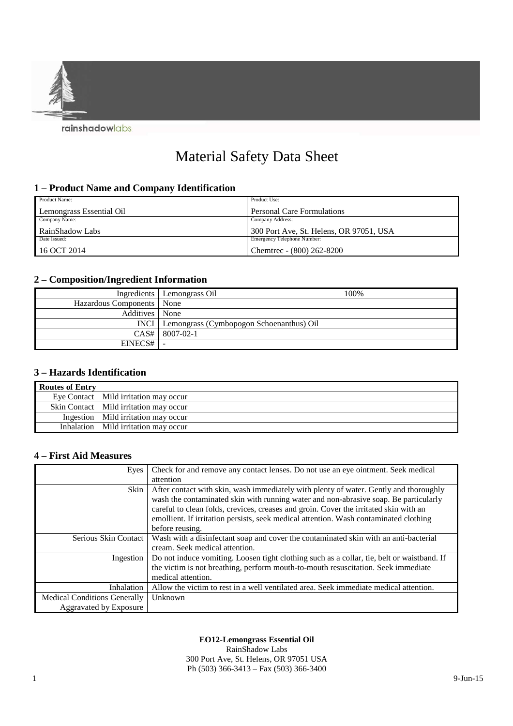

# Material Safety Data Sheet

### **1 – Product Name and Company Identification**

| Product Name:            | Product Use:                            |
|--------------------------|-----------------------------------------|
| Lemongrass Essential Oil | Personal Care Formulations              |
| Company Name:            | Company Address:                        |
| RainShadow Labs          | 300 Port Ave, St. Helens, OR 97051, USA |
| Date Issued:             | Emergency Telephone Number:             |
| 16 OCT 2014              | Chemtrec - (800) 262-8200               |

# **2 – Composition/Ingredient Information**

|                             | Ingredients   Lemongrass Oil                    | 100% |
|-----------------------------|-------------------------------------------------|------|
| Hazardous Components   None |                                                 |      |
| Additives   None            |                                                 |      |
|                             | INCI   Lemongrass (Cymbopogon Schoenanthus) Oil |      |
|                             | $CAS#$ 8007-02-1                                |      |
| EINECS#                     |                                                 |      |

### **3 – Hazards Identification**

| <b>Routes of Entry</b> |                                          |
|------------------------|------------------------------------------|
|                        | Eye Contact   Mild irritation may occur  |
|                        | Skin Contact   Mild irritation may occur |
|                        | Ingestion   Mild irritation may occur    |
|                        | Inhalation   Mild irritation may occur   |

### **4 – First Aid Measures**

| Eyes                                | Check for and remove any contact lenses. Do not use an eye ointment. Seek medical          |
|-------------------------------------|--------------------------------------------------------------------------------------------|
|                                     | attention                                                                                  |
| Skin                                | After contact with skin, wash immediately with plenty of water. Gently and thoroughly      |
|                                     | wash the contaminated skin with running water and non-abrasive soap. Be particularly       |
|                                     | careful to clean folds, crevices, creases and groin. Cover the irritated skin with an      |
|                                     | emollient. If irritation persists, seek medical attention. Wash contaminated clothing      |
|                                     | before reusing.                                                                            |
| Serious Skin Contact                | Wash with a disinfectant soap and cover the contaminated skin with an anti-bacterial       |
|                                     | cream. Seek medical attention.                                                             |
| Ingestion                           | Do not induce vomiting. Loosen tight clothing such as a collar, tie, belt or waistband. If |
|                                     | the victim is not breathing, perform mouth-to-mouth resuscitation. Seek immediate          |
|                                     | medical attention.                                                                         |
| <b>Inhalation</b>                   | Allow the victim to rest in a well ventilated area. Seek immediate medical attention.      |
| <b>Medical Conditions Generally</b> | Unknown                                                                                    |
| <b>Aggravated by Exposure</b>       |                                                                                            |

#### **EO12-Lemongrass Essential Oil**

RainShadow Labs 300 Port Ave, St. Helens, OR 97051 USA Ph (503) 366-3413 – Fax (503) 366-3400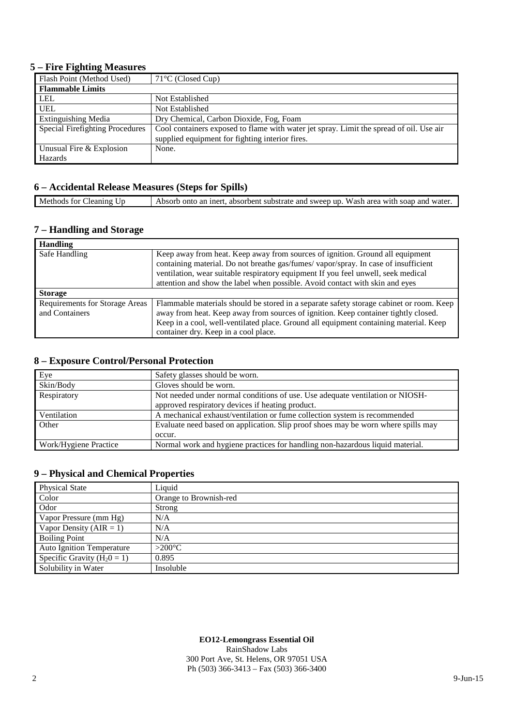### **5 – Fire Fighting Measures**

| Flash Point (Method Used)       | $71^{\circ}$ C (Closed Cup)                                                             |
|---------------------------------|-----------------------------------------------------------------------------------------|
| <b>Flammable Limits</b>         |                                                                                         |
| <b>LEL</b>                      | Not Established                                                                         |
| <b>UEL</b>                      | Not Established                                                                         |
| <b>Extinguishing Media</b>      | Dry Chemical, Carbon Dioxide, Fog, Foam                                                 |
| Special Firefighting Procedures | Cool containers exposed to flame with water jet spray. Limit the spread of oil. Use air |
|                                 | supplied equipment for fighting interior fires.                                         |
| Unusual Fire & Explosion        | None.                                                                                   |
| Hazards                         |                                                                                         |

# **6 – Accidental Release Measures (Steps for Spills)**

| Methods for Cleaning Up | Absorb onto an inert, absorbent substrate and sweep up. Wash area with soap and water. |
|-------------------------|----------------------------------------------------------------------------------------|

## **7 – Handling and Storage**

| <b>Handling</b>                                         |                                                                                                                                                                                                                                                                                                                                          |
|---------------------------------------------------------|------------------------------------------------------------------------------------------------------------------------------------------------------------------------------------------------------------------------------------------------------------------------------------------------------------------------------------------|
| Safe Handling                                           | Keep away from heat. Keep away from sources of ignition. Ground all equipment<br>containing material. Do not breathe gas/fumes/vapor/spray. In case of insufficient<br>ventilation, wear suitable respiratory equipment If you feel unwell, seek medical<br>attention and show the label when possible. Avoid contact with skin and eyes |
| <b>Storage</b>                                          |                                                                                                                                                                                                                                                                                                                                          |
| <b>Requirements for Storage Areas</b><br>and Containers | Flammable materials should be stored in a separate safety storage cabinet or room. Keep<br>away from heat. Keep away from sources of ignition. Keep container tightly closed.<br>Keep in a cool, well-ventilated place. Ground all equipment containing material. Keep<br>container dry. Keep in a cool place.                           |

## **8 – Exposure Control/Personal Protection**

| Eye                   | Safety glasses should be worn.                                                    |
|-----------------------|-----------------------------------------------------------------------------------|
| Skin/Body             | Gloves should be worn.                                                            |
| Respiratory           | Not needed under normal conditions of use. Use adequate ventilation or NIOSH-     |
|                       | approved respiratory devices if heating product.                                  |
| Ventilation           | A mechanical exhaust/ventilation or fume collection system is recommended         |
| Other                 | Evaluate need based on application. Slip proof shoes may be worn where spills may |
|                       | occur.                                                                            |
| Work/Hygiene Practice | Normal work and hygiene practices for handling non-hazardous liquid material.     |

# **9 – Physical and Chemical Properties**

| <b>Physical State</b>            | Liquid                 |
|----------------------------------|------------------------|
| Color                            | Orange to Brownish-red |
| Odor                             | Strong                 |
| Vapor Pressure (mm Hg)           | N/A                    |
| Vapor Density ( $AIR = 1$ )      | N/A                    |
| <b>Boiling Point</b>             | N/A                    |
| <b>Auto Ignition Temperature</b> | $>200^{\circ}$ C       |
| Specific Gravity ( $H_20 = 1$ )  | 0.895                  |
| Solubility in Water              | Insoluble              |

# **EO12-Lemongrass Essential Oil**

RainShadow Labs 300 Port Ave, St. Helens, OR 97051 USA Ph (503) 366-3413 – Fax (503) 366-3400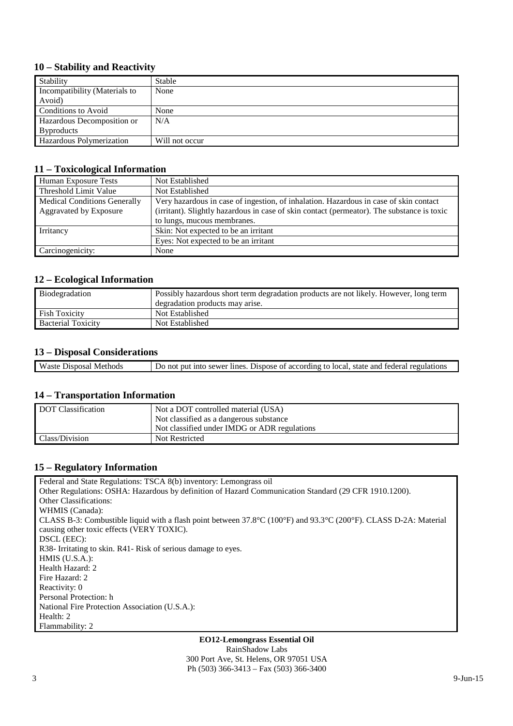### **10 – Stability and Reactivity**

| Stability                     | Stable         |
|-------------------------------|----------------|
| Incompatibility (Materials to | None           |
| Avoid)                        |                |
| Conditions to Avoid           | None           |
| Hazardous Decomposition or    | N/A            |
| <b>Byproducts</b>             |                |
| Hazardous Polymerization      | Will not occur |

#### **11 – Toxicological Information**

| Human Exposure Tests                | Not Established                                                                            |
|-------------------------------------|--------------------------------------------------------------------------------------------|
| Threshold Limit Value               | Not Established                                                                            |
| <b>Medical Conditions Generally</b> | Very hazardous in case of ingestion, of inhalation. Hazardous in case of skin contact      |
| <b>Aggravated by Exposure</b>       | (irritant). Slightly hazardous in case of skin contact (permeator). The substance is toxic |
|                                     | to lungs, mucous membranes.                                                                |
| Irritancy                           | Skin: Not expected to be an irritant                                                       |
|                                     | Eyes: Not expected to be an irritant                                                       |
| Carcinogenicity:                    | None                                                                                       |

### **12 – Ecological Information**

| Biodegradation            | Possibly hazardous short term degradation products are not likely. However, long term |
|---------------------------|---------------------------------------------------------------------------------------|
|                           | degradation products may arise.                                                       |
| <b>Fish Toxicity</b>      | Not Established                                                                       |
| <b>Bacterial Toxicity</b> | Not Established                                                                       |

### **13 – Disposal Considerations**

| Waste<br>Disposal<br>Methods | state and federal regulations.<br>. Dispose of according to local.<br>t into sewer lines.<br>: put<br>Do not |
|------------------------------|--------------------------------------------------------------------------------------------------------------|
|                              |                                                                                                              |

#### **14 – Transportation Information**

| DOT Classification | Not a DOT controlled material (USA)          |
|--------------------|----------------------------------------------|
|                    | Not classified as a dangerous substance      |
|                    | Not classified under IMDG or ADR regulations |
| Class/Division     | Not Restricted                               |

### **15 – Regulatory Information**

Federal and State Regulations: TSCA 8(b) inventory: Lemongrass oil Other Regulations: OSHA: Hazardous by definition of Hazard Communication Standard (29 CFR 1910.1200). Other Classifications: WHMIS (Canada): CLASS B-3: Combustible liquid with a flash point between 37.8°C (100°F) and 93.3°C (200°F). CLASS D-2A: Material causing other toxic effects (VERY TOXIC). DSCL (EEC): R38- Irritating to skin. R41- Risk of serious damage to eyes. HMIS (U.S.A.): Health Hazard: 2 Fire Hazard: 2 Reactivity: 0 Personal Protection: h National Fire Protection Association (U.S.A.): Health: 2 Flammability: 2

> **EO12-Lemongrass Essential Oil**  RainShadow Labs 300 Port Ave, St. Helens, OR 97051 USA Ph (503) 366-3413 – Fax (503) 366-3400